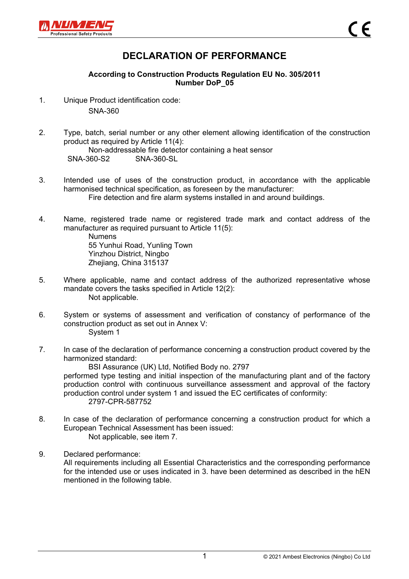

## **DECLARATION OF PERFORMANCE**

## **According to Construction Products Regulation EU No. 305/2011 Number DoP\_05**

- 1. Unique Product identification code: SNA-360
- 2. Type, batch, serial number or any other element allowing identification of the construction product as required by Article 11(4): Non-addressable fire detector containing a heat sensor SNA-360-S2 SNA-360-SL
- 3. Intended use of uses of the construction product, in accordance with the applicable harmonised technical specification, as foreseen by the manufacturer: Fire detection and fire alarm systems installed in and around buildings.
- 4. Name, registered trade name or registered trade mark and contact address of the manufacturer as required pursuant to Article 11(5): Numens 55 Yunhui Road, Yunling Town

Yinzhou District, Ningbo Zhejiang, China 315137

- 5. Where applicable, name and contact address of the authorized representative whose mandate covers the tasks specified in Article 12(2): Not applicable.
- 6. System or systems of assessment and verification of constancy of performance of the construction product as set out in Annex V: System 1
- 7. In case of the declaration of performance concerning a construction product covered by the harmonized standard:

BSI Assurance (UK) Ltd, Notified Body no. 2797 performed type testing and initial inspection of the manufacturing plant and of the factory production control with continuous surveillance assessment and approval of the factory production control under system 1 and issued the EC certificates of conformity: 2797-CPR-587752

- 8. In case of the declaration of performance concerning a construction product for which a European Technical Assessment has been issued: Not applicable, see item 7.
- 9. Declared performance: All requirements including all Essential Characteristics and the corresponding performance for the intended use or uses indicated in 3. have been determined as described in the hEN mentioned in the following table.